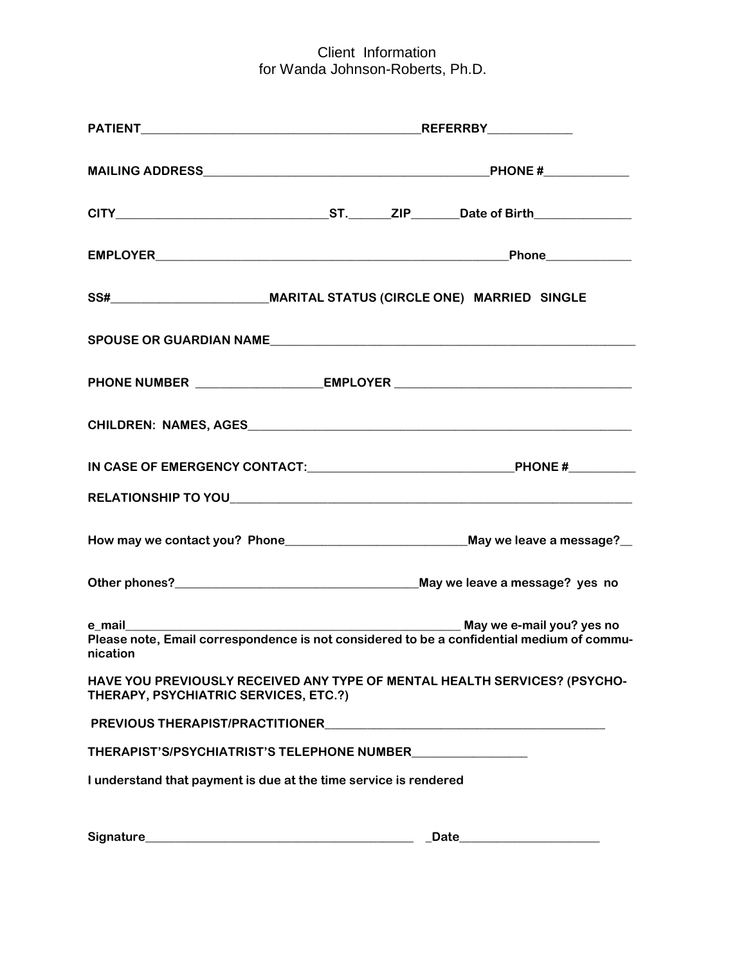| SS#______________________________MARITAL STATUS (CIRCLE ONE) MARRIED SINGLE                                                                                                                                                   |  |  |       |
|-------------------------------------------------------------------------------------------------------------------------------------------------------------------------------------------------------------------------------|--|--|-------|
|                                                                                                                                                                                                                               |  |  |       |
|                                                                                                                                                                                                                               |  |  |       |
|                                                                                                                                                                                                                               |  |  |       |
| IN CASE OF EMERGENCY CONTACT: The contract of the contract of the contract of the contract of the contract of the contract of the contract of the contract of the contract of the contract of the contract of the contract of |  |  |       |
|                                                                                                                                                                                                                               |  |  |       |
|                                                                                                                                                                                                                               |  |  |       |
|                                                                                                                                                                                                                               |  |  |       |
| e mail<br>Please note, Email correspondence is not considered to be a confidential medium of commu-<br>nication                                                                                                               |  |  |       |
| HAVE YOU PREVIOUSLY RECEIVED ANY TYPE OF MENTAL HEALTH SERVICES? (PSYCHO-<br>THERAPY, PSYCHIATRIC SERVICES, ETC.?)                                                                                                            |  |  |       |
|                                                                                                                                                                                                                               |  |  |       |
| THERAPIST'S/PSYCHIATRIST'S TELEPHONE NUMBER                                                                                                                                                                                   |  |  |       |
| I understand that payment is due at the time service is rendered                                                                                                                                                              |  |  |       |
| Signature_<br><u> 1980 - Johann Barn, mars ar breithinn ar breithinn ar breithinn ar breithinn ar breithinn ar breithinn ar br</u>                                                                                            |  |  | Date_ |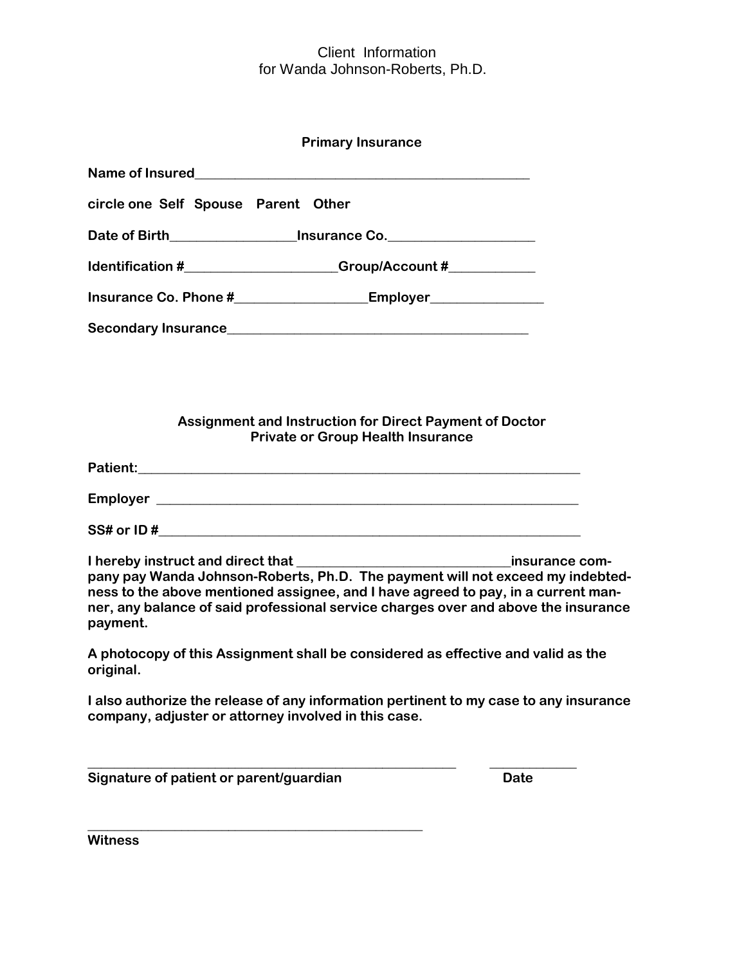| <b>Primary Insurance</b>                                                                                                                                                                                                                                              |  |  |  |  |
|-----------------------------------------------------------------------------------------------------------------------------------------------------------------------------------------------------------------------------------------------------------------------|--|--|--|--|
|                                                                                                                                                                                                                                                                       |  |  |  |  |
| circle one Self Spouse Parent Other                                                                                                                                                                                                                                   |  |  |  |  |
| Date of Birth__________________________Insurance Co.____________________________                                                                                                                                                                                      |  |  |  |  |
| ldentification #_______________________Group/Account #_____________                                                                                                                                                                                                   |  |  |  |  |
|                                                                                                                                                                                                                                                                       |  |  |  |  |
|                                                                                                                                                                                                                                                                       |  |  |  |  |
|                                                                                                                                                                                                                                                                       |  |  |  |  |
|                                                                                                                                                                                                                                                                       |  |  |  |  |
| Assignment and Instruction for Direct Payment of Doctor                                                                                                                                                                                                               |  |  |  |  |
| <b>Private or Group Health Insurance</b>                                                                                                                                                                                                                              |  |  |  |  |
|                                                                                                                                                                                                                                                                       |  |  |  |  |
|                                                                                                                                                                                                                                                                       |  |  |  |  |
|                                                                                                                                                                                                                                                                       |  |  |  |  |
| pany pay Wanda Johnson-Roberts, Ph.D. The payment will not exceed my indebted-<br>ness to the above mentioned assignee, and I have agreed to pay, in a current man-<br>ner, any balance of said professional service charges over and above the insurance<br>payment. |  |  |  |  |
| A photocopy of this Assignment shall be considered as effective and valid as the<br>original.                                                                                                                                                                         |  |  |  |  |
| I also authorize the release of any information pertinent to my case to any insurance<br>company, adjuster or attorney involved in this case.                                                                                                                         |  |  |  |  |
| Signature of patient or parent/guardian<br><b>Date</b>                                                                                                                                                                                                                |  |  |  |  |

**Witness**

**\_\_\_\_\_\_\_\_\_\_\_\_\_\_\_\_\_\_\_\_\_\_\_\_\_\_\_\_\_\_\_\_\_\_\_\_\_\_\_\_\_\_\_\_\_\_\_\_\_\_**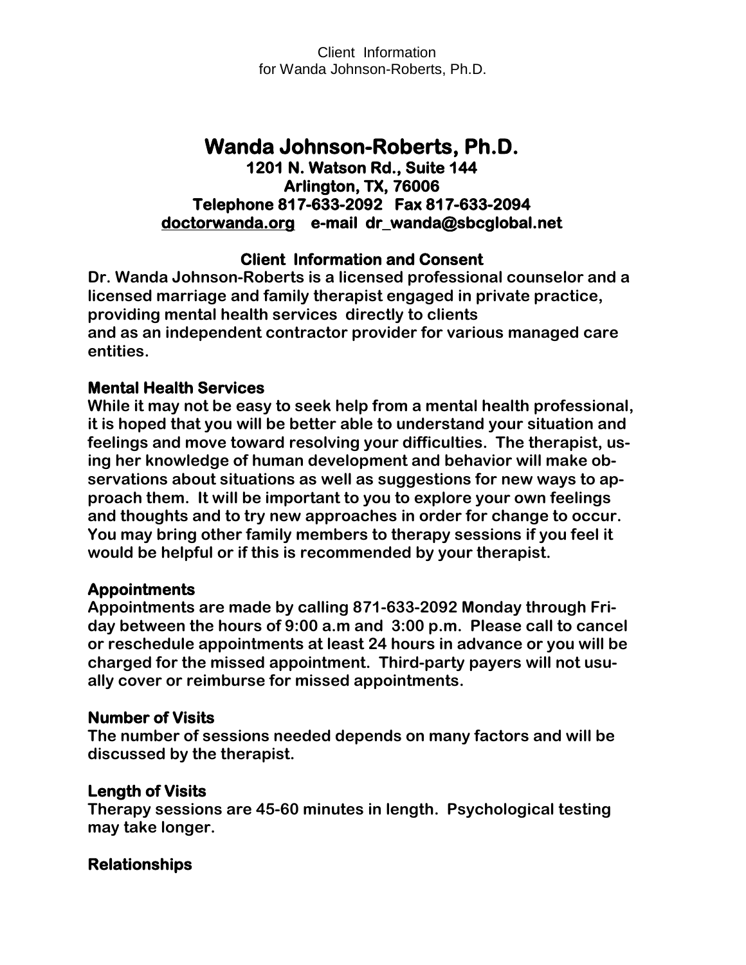# **Wanda Johnson-Roberts, Ph.D. 1201 N. Watson Rd., Suite 144 Arlington, TX, 76006 Telephone 817-633-2092 Fax 817-633-2094 [doctorwanda.org](http://doctorwanda.org/) e-mail dr\_wanda@sbcglobal.net**

# **Client Information and Consent**

**Dr. Wanda Johnson-Roberts is a licensed professional counselor and a licensed marriage and family therapist engaged in private practice, providing mental health services directly to clients and as an independent contractor provider for various managed care entities.** 

## **Mental Health Services**

**While it may not be easy to seek help from a mental health professional, it is hoped that you will be better able to understand your situation and feelings and move toward resolving your difficulties. The therapist, using her knowledge of human development and behavior will make observations about situations as well as suggestions for new ways to approach them. It will be important to you to explore your own feelings and thoughts and to try new approaches in order for change to occur. You may bring other family members to therapy sessions if you feel it would be helpful or if this is recommended by your therapist.** 

## **Appointments**

**Appointments are made by calling 871-633-2092 Monday through Friday between the hours of 9:00 a.m and 3:00 p.m. Please call to cancel or reschedule appointments at least 24 hours in advance or you will be charged for the missed appointment. Third-party payers will not usually cover or reimburse for missed appointments.**

## **Number of Visits**

**The number of sessions needed depends on many factors and will be discussed by the therapist.**

## **Length of Visits**

**Therapy sessions are 45-60 minutes in length. Psychological testing may take longer.**

## **Relationships**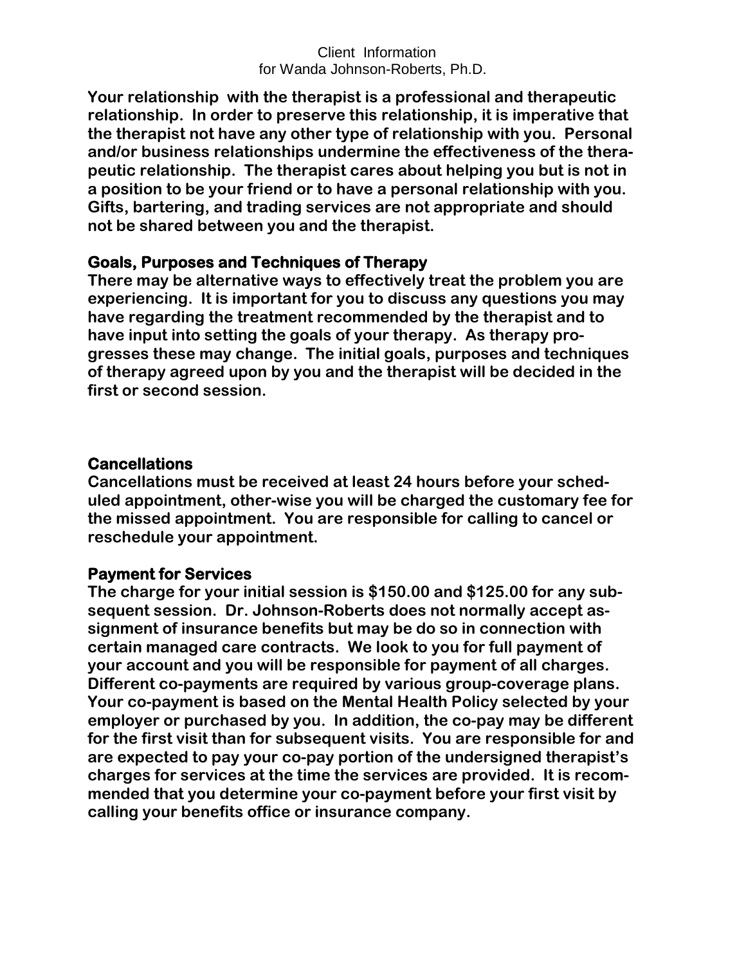**Your relationship with the therapist is a professional and therapeutic relationship. In order to preserve this relationship, it is imperative that the therapist not have any other type of relationship with you. Personal and/or business relationships undermine the effectiveness of the therapeutic relationship. The therapist cares about helping you but is not in a position to be your friend or to have a personal relationship with you. Gifts, bartering, and trading services are not appropriate and should not be shared between you and the therapist.**

#### **Goals, Purposes and Techniques of Therapy**

**There may be alternative ways to effectively treat the problem you are experiencing. It is important for you to discuss any questions you may have regarding the treatment recommended by the therapist and to have input into setting the goals of your therapy. As therapy progresses these may change. The initial goals, purposes and techniques of therapy agreed upon by you and the therapist will be decided in the first or second session.** 

#### **Cancellations**

**Cancellations must be received at least 24 hours before your scheduled appointment, other-wise you will be charged the customary fee for the missed appointment. You are responsible for calling to cancel or reschedule your appointment.**

## **Payment for Services**

**The charge for your initial session is \$150.00 and \$125.00 for any subsequent session. Dr. Johnson-Roberts does not normally accept assignment of insurance benefits but may be do so in connection with certain managed care contracts. We look to you for full payment of your account and you will be responsible for payment of all charges. Different co-payments are required by various group-coverage plans. Your co-payment is based on the Mental Health Policy selected by your employer or purchased by you. In addition, the co-pay may be different for the first visit than for subsequent visits. You are responsible for and are expected to pay your co-pay portion of the undersigned therapist's charges for services at the time the services are provided. It is recommended that you determine your co-payment before your first visit by calling your benefits office or insurance company.**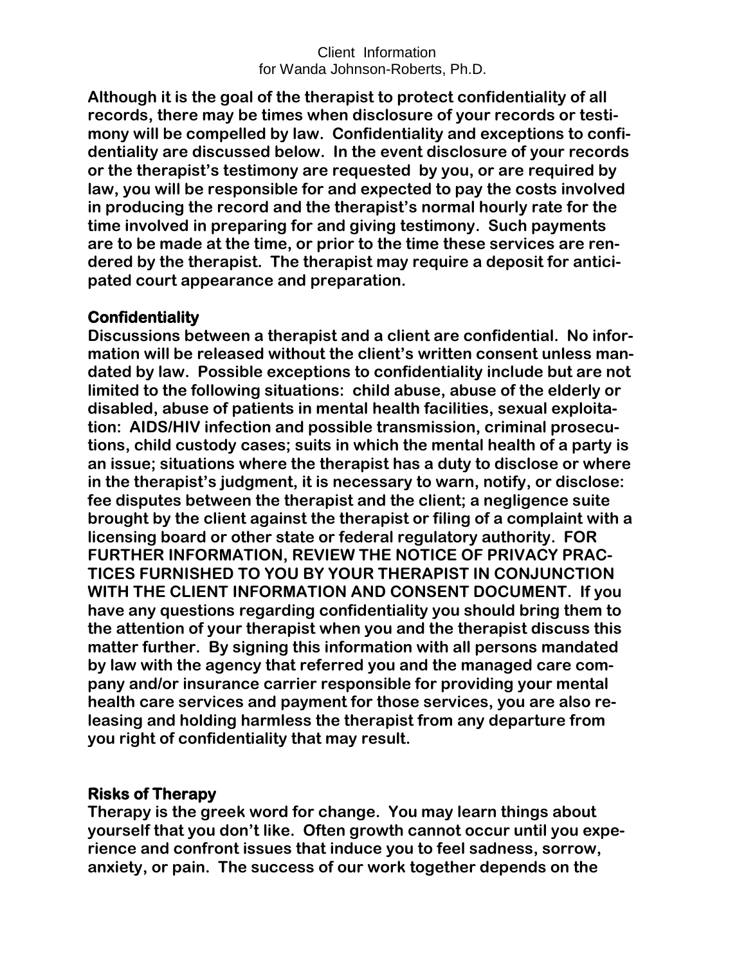**Although it is the goal of the therapist to protect confidentiality of all records, there may be times when disclosure of your records or testimony will be compelled by law. Confidentiality and exceptions to confidentiality are discussed below. In the event disclosure of your records or the therapist's testimony are requested by you, or are required by law, you will be responsible for and expected to pay the costs involved in producing the record and the therapist's normal hourly rate for the time involved in preparing for and giving testimony. Such payments are to be made at the time, or prior to the time these services are rendered by the therapist. The therapist may require a deposit for anticipated court appearance and preparation.**

## **Confidentiality**

**Discussions between a therapist and a client are confidential. No information will be released without the client's written consent unless mandated by law. Possible exceptions to confidentiality include but are not limited to the following situations: child abuse, abuse of the elderly or disabled, abuse of patients in mental health facilities, sexual exploitation: AIDS/HIV infection and possible transmission, criminal prosecutions, child custody cases; suits in which the mental health of a party is an issue; situations where the therapist has a duty to disclose or where in the therapist's judgment, it is necessary to warn, notify, or disclose: fee disputes between the therapist and the client; a negligence suite brought by the client against the therapist or filing of a complaint with a licensing board or other state or federal regulatory authority. FOR FURTHER INFORMATION, REVIEW THE NOTICE OF PRIVACY PRAC-TICES FURNISHED TO YOU BY YOUR THERAPIST IN CONJUNCTION WITH THE CLIENT INFORMATION AND CONSENT DOCUMENT. If you have any questions regarding confidentiality you should bring them to the attention of your therapist when you and the therapist discuss this matter further. By signing this information with all persons mandated by law with the agency that referred you and the managed care company and/or insurance carrier responsible for providing your mental health care services and payment for those services, you are also releasing and holding harmless the therapist from any departure from you right of confidentiality that may result.**

## **Risks of Therapy**

**Therapy is the greek word for change. You may learn things about yourself that you don't like. Often growth cannot occur until you experience and confront issues that induce you to feel sadness, sorrow, anxiety, or pain. The success of our work together depends on the**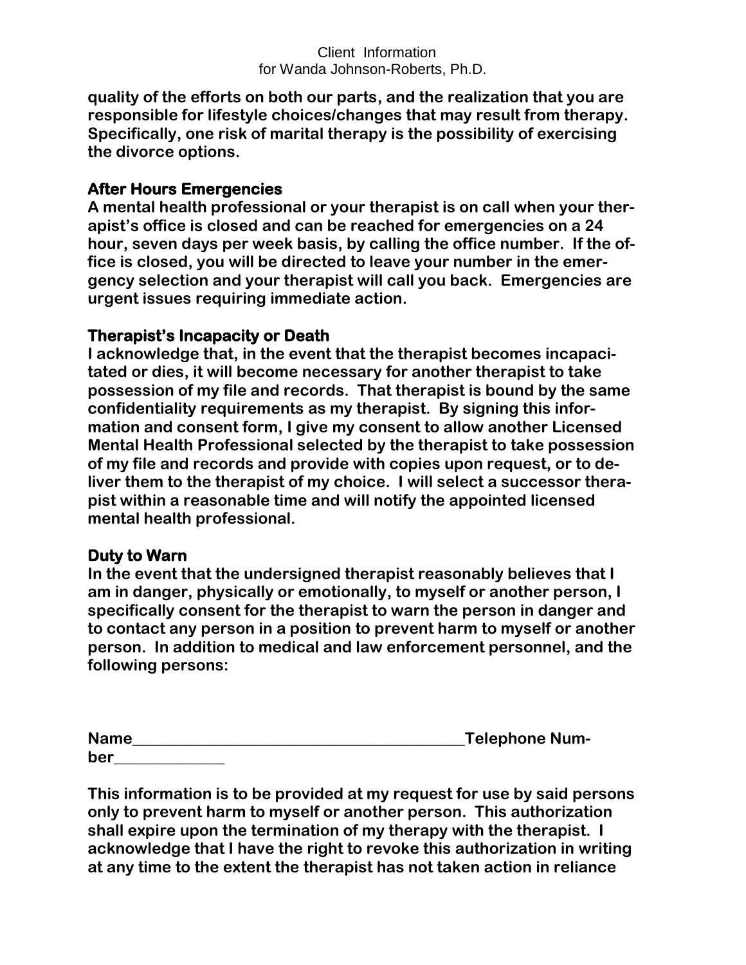**quality of the efforts on both our parts, and the realization that you are responsible for lifestyle choices/changes that may result from therapy. Specifically, one risk of marital therapy is the possibility of exercising the divorce options.**

## **After Hours Emergencies**

**A mental health professional or your therapist is on call when your therapist's office is closed and can be reached for emergencies on a 24 hour, seven days per week basis, by calling the office number. If the office is closed, you will be directed to leave your number in the emergency selection and your therapist will call you back. Emergencies are urgent issues requiring immediate action.**

## **Therapist's Incapacity or Death**

**I acknowledge that, in the event that the therapist becomes incapacitated or dies, it will become necessary for another therapist to take possession of my file and records. That therapist is bound by the same confidentiality requirements as my therapist. By signing this information and consent form, I give my consent to allow another Licensed Mental Health Professional selected by the therapist to take possession of my file and records and provide with copies upon request, or to deliver them to the therapist of my choice. I will select a successor therapist within a reasonable time and will notify the appointed licensed mental health professional.**

## **Duty to Warn**

**In the event that the undersigned therapist reasonably believes that I am in danger, physically or emotionally, to myself or another person, I specifically consent for the therapist to warn the person in danger and to contact any person in a position to prevent harm to myself or another person. In addition to medical and law enforcement personnel, and the following persons:**

| <b>Name</b> | <b>Telephone Num-</b> |
|-------------|-----------------------|
| ber         |                       |

**This information is to be provided at my request for use by said persons only to prevent harm to myself or another person. This authorization shall expire upon the termination of my therapy with the therapist. I acknowledge that I have the right to revoke this authorization in writing at any time to the extent the therapist has not taken action in reliance**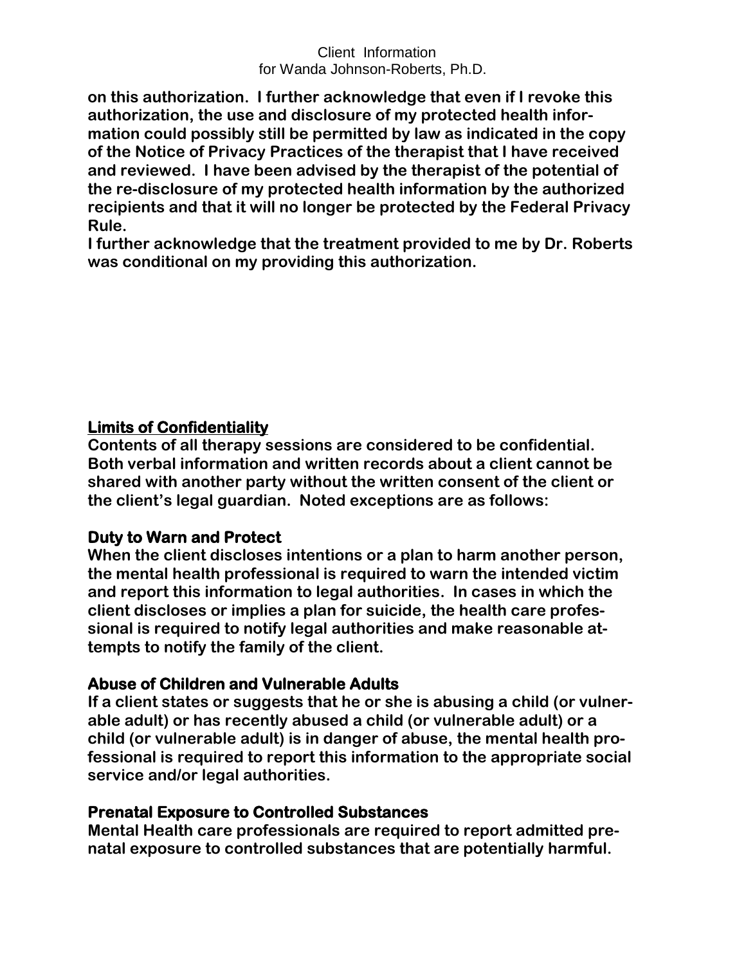**on this authorization. I further acknowledge that even if I revoke this authorization, the use and disclosure of my protected health information could possibly still be permitted by law as indicated in the copy of the Notice of Privacy Practices of the therapist that I have received and reviewed. I have been advised by the therapist of the potential of the re-disclosure of my protected health information by the authorized recipients and that it will no longer be protected by the Federal Privacy Rule.**

**I further acknowledge that the treatment provided to me by Dr. Roberts was conditional on my providing this authorization.**

# **Limits of Confidentiality**

**Contents of all therapy sessions are considered to be confidential. Both verbal information and written records about a client cannot be shared with another party without the written consent of the client or the client's legal guardian. Noted exceptions are as follows:**

# **Duty to Warn and Protect**

**When the client discloses intentions or a plan to harm another person, the mental health professional is required to warn the intended victim and report this information to legal authorities. In cases in which the client discloses or implies a plan for suicide, the health care professional is required to notify legal authorities and make reasonable attempts to notify the family of the client.**

## **Abuse of Children and Vulnerable Adults**

**If a client states or suggests that he or she is abusing a child (or vulnerable adult) or has recently abused a child (or vulnerable adult) or a child (or vulnerable adult) is in danger of abuse, the mental health professional is required to report this information to the appropriate social service and/or legal authorities.**

## **Prenatal Exposure to Controlled Substances**

**Mental Health care professionals are required to report admitted prenatal exposure to controlled substances that are potentially harmful.**